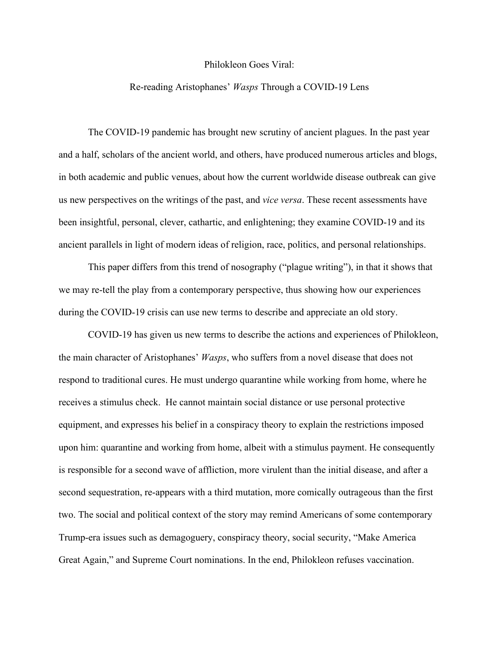## Philokleon Goes Viral:

## Re-reading Aristophanes' *Wasps* Through a COVID-19 Lens

The COVID-19 pandemic has brought new scrutiny of ancient plagues. In the past year and a half, scholars of the ancient world, and others, have produced numerous articles and blogs, in both academic and public venues, about how the current worldwide disease outbreak can give us new perspectives on the writings of the past, and *vice versa*. These recent assessments have been insightful, personal, clever, cathartic, and enlightening; they examine COVID-19 and its ancient parallels in light of modern ideas of religion, race, politics, and personal relationships.

This paper differs from this trend of nosography ("plague writing"), in that it shows that we may re-tell the play from a contemporary perspective, thus showing how our experiences during the COVID-19 crisis can use new terms to describe and appreciate an old story.

COVID-19 has given us new terms to describe the actions and experiences of Philokleon, the main character of Aristophanes' *Wasps*, who suffers from a novel disease that does not respond to traditional cures. He must undergo quarantine while working from home, where he receives a stimulus check. He cannot maintain social distance or use personal protective equipment, and expresses his belief in a conspiracy theory to explain the restrictions imposed upon him: quarantine and working from home, albeit with a stimulus payment. He consequently is responsible for a second wave of affliction, more virulent than the initial disease, and after a second sequestration, re-appears with a third mutation, more comically outrageous than the first two. The social and political context of the story may remind Americans of some contemporary Trump-era issues such as demagoguery, conspiracy theory, social security, "Make America Great Again," and Supreme Court nominations. In the end, Philokleon refuses vaccination.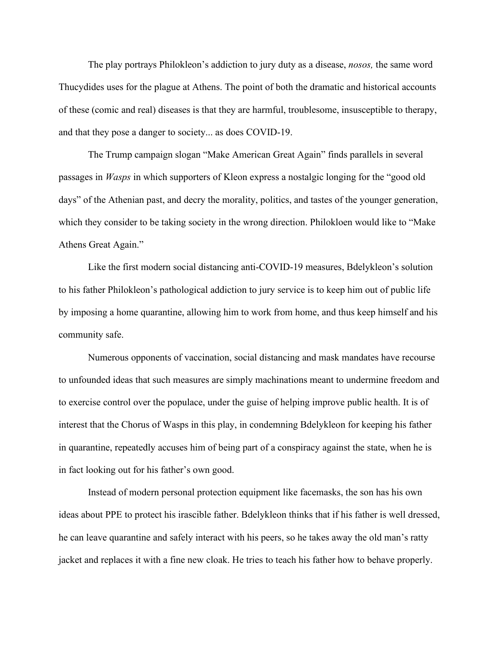The play portrays Philokleon's addiction to jury duty as a disease, *nosos,* the same word Thucydides uses for the plague at Athens. The point of both the dramatic and historical accounts of these (comic and real) diseases is that they are harmful, troublesome, insusceptible to therapy, and that they pose a danger to society... as does COVID-19.

The Trump campaign slogan "Make American Great Again" finds parallels in several passages in *Wasps* in which supporters of Kleon express a nostalgic longing for the "good old days" of the Athenian past, and decry the morality, politics, and tastes of the younger generation, which they consider to be taking society in the wrong direction. Philokloen would like to "Make Athens Great Again."

Like the first modern social distancing anti-COVID-19 measures, Bdelykleon's solution to his father Philokleon's pathological addiction to jury service is to keep him out of public life by imposing a home quarantine, allowing him to work from home, and thus keep himself and his community safe.

Numerous opponents of vaccination, social distancing and mask mandates have recourse to unfounded ideas that such measures are simply machinations meant to undermine freedom and to exercise control over the populace, under the guise of helping improve public health. It is of interest that the Chorus of Wasps in this play, in condemning Bdelykleon for keeping his father in quarantine, repeatedly accuses him of being part of a conspiracy against the state, when he is in fact looking out for his father's own good.

Instead of modern personal protection equipment like facemasks, the son has his own ideas about PPE to protect his irascible father. Bdelykleon thinks that if his father is well dressed, he can leave quarantine and safely interact with his peers, so he takes away the old man's ratty jacket and replaces it with a fine new cloak. He tries to teach his father how to behave properly.